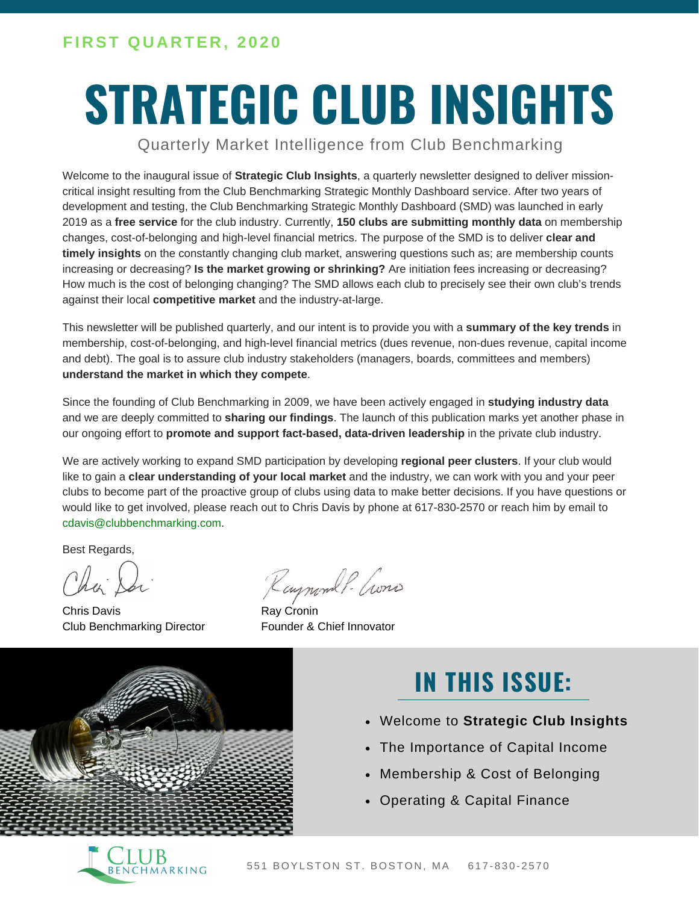# **STRATEGIC CLUB INSIGHTS**

Quarterly Market Intelligence from Club Benchmarking

Welcome to the inaugural issue of **Strategic Club Insights**, a quarterly newsletter designed to deliver missioncritical insight resulting from the Club Benchmarking Strategic Monthly Dashboard service. After two years of development and testing, the Club Benchmarking Strategic Monthly Dashboard (SMD) was launched in early 2019 as a **free service** for the club industry. Currently, **150 clubs are submitting monthly data** on membership changes, cost-of-belonging and high-level financial metrics. The purpose of the SMD is to deliver **clear and timely insights** on the constantly changing club market, answering questions such as; are membership counts increasing or decreasing? **Is the market growing or shrinking?** Are initiation fees increasing or decreasing? How much is the cost of belonging changing? The SMD allows each club to precisely see their own club's trends against their local **competitive market** and the industry-at-large.

This newsletter will be published quarterly, and our intent is to provide you with a **summary of the key trends** in membership, cost-of-belonging, and high-level financial metrics (dues revenue, non-dues revenue, capital income and debt). The goal is to assure club industry stakeholders (managers, boards, committees and members) **understand the market in which they compete**.

Since the founding of Club Benchmarking in 2009, we have been actively engaged in **studying industry data** and we are deeply committed to **sharing our findings**. The launch of this publication marks yet another phase in our ongoing effort to **promote and support fact-based, data-driven leadership** in the private club industry.

We are actively working to expand SMD participation by developing **regional peer clusters**. If your club would like to gain a **clear understanding of your local market** and the industry, we can work with you and your peer clubs to become part of the proactive group of clubs using data to make better decisions. If you have questions or would like to get involved, please reach out to Chris Davis by phone at 617-830-2570 or reach him by email to cdavis@clubbenchmarking.com.

Best Regards,

Chris Davis Club Benchmarking Director

Raymond P. Crons

Ray Cronin Founder & Chief Innovator



### **IN THIS ISSUE:**

- Welcome to **Strategic Club Insights**
- The Importance of Capital Income  $\bullet$
- Membership & Cost of Belonging
- Operating & Capital Finance

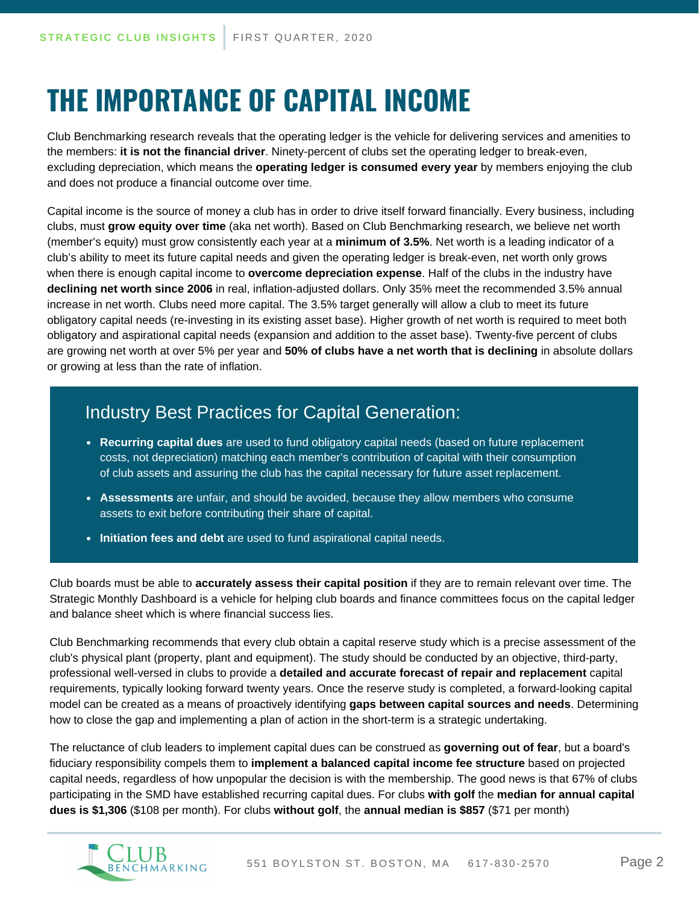# **THE IMPORTANCE OF CAPITAL INCOME**

Club Benchmarking research reveals that the operating ledger is the vehicle for delivering services and amenities to the members: **it is not the financial driver**. Ninety-percent of clubs set the operating ledger to break-even, excluding depreciation, which means the **operating ledger is consumed every year** by members enjoying the club and does not produce a financial outcome over time.

Capital income is the source of money a club has in order to drive itself forward financially. Every business, including clubs, must **grow equity over time** (aka net worth). Based on Club Benchmarking research, we believe net worth (member's equity) must grow consistently each year at a **minimum of 3.5%**. Net worth is a leading indicator of a club's ability to meet its future capital needs and given the operating ledger is break-even, net worth only grows when there is enough capital income to **overcome depreciation expense**. Half of the clubs in the industry have **declining net worth since 2006** in real, inflation-adjusted dollars. Only 35% meet the recommended 3.5% annual increase in net worth. Clubs need more capital. The 3.5% target generally will allow a club to meet its future obligatory capital needs (re-investing in its existing asset base). Higher growth of net worth is required to meet both obligatory and aspirational capital needs (expansion and addition to the asset base). Twenty-five percent of clubs are growing net worth at over 5% per year and **50% of clubs have a net worth that is declining** in absolute dollars or growing at less than the rate of inflation.

### Industry Best Practices for Capital Generation:

- **Recurring capital dues** are used to fund obligatory capital needs (based on future replacement costs, not depreciation) matching each member's contribution of capital with their consumption of club assets and assuring the club has the capital necessary for future asset replacement.
- **Assessments** are unfair, and should be avoided, because they allow members who consume assets to exit before contributing their share of capital.
- **Initiation fees and debt** are used to fund aspirational capital needs.

Club boards must be able to **accurately assess their capital position** if they are to remain relevant over time. The Strategic Monthly Dashboard is a vehicle for helping club boards and finance committees focus on the capital ledger and balance sheet which is where financial success lies.

Club Benchmarking recommends that every club obtain a capital reserve study which is a precise assessment of the club's physical plant (property, plant and equipment). The study should be conducted by an objective, third-party, professional well-versed in clubs to provide a **detailed and accurate forecast of repair and replacement** capital requirements, typically looking forward twenty years. Once the reserve study is completed, a forward-looking capital model can be created as a means of proactively identifying **gaps between capital sources and needs**. Determining how to close the gap and implementing a plan of action in the short-term is a strategic undertaking.

The reluctance of club leaders to implement capital dues can be construed as **governing out of fear**, but a board's fiduciary responsibility compels them to **implement a balanced capital income fee structure** based on projected capital needs, regardless of how unpopular the decision is with the membership. The good news is that 67% of clubs participating in the SMD have established recurring capital dues. For clubs **with golf** the **median for annual capital dues is \$1,306** (\$108 per month). For clubs **without golf**, the **annual median is \$857** (\$71 per month)

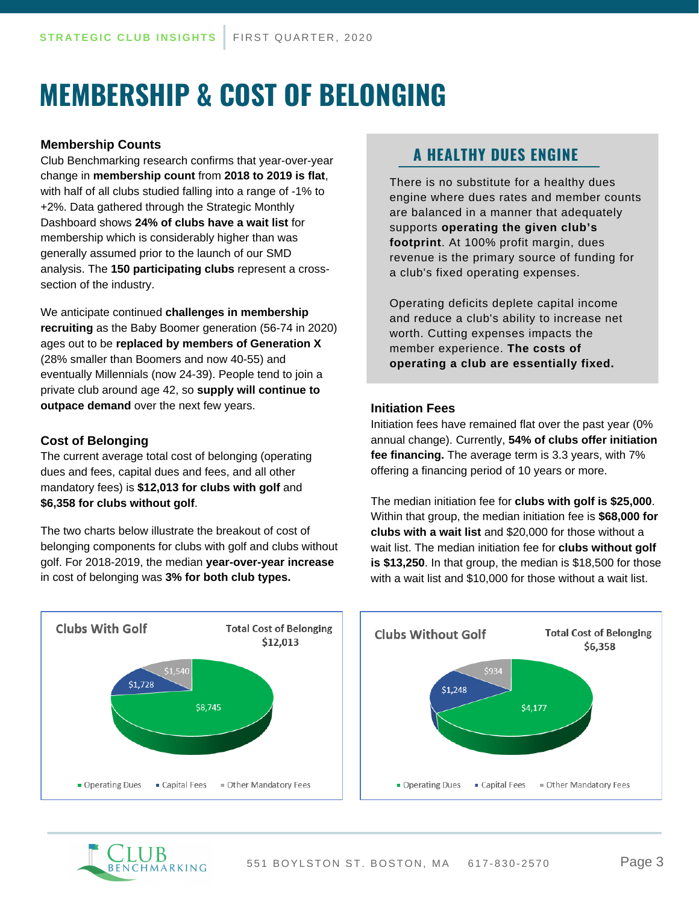# **MEMBERSHIP & COST OF BELONGING**

#### **Membership Counts**

Club Benchmarking research confirms that year-over-year change in **membership count** from **2018 to 2019 is flat**, with half of all clubs studied falling into a range of -1% to +2%. Data gathered through the Strategic Monthly Dashboard shows **24% of clubs have a wait list** for membership which is considerably higher than was generally assumed prior to the launch of our SMD analysis. The **150 participating clubs** represent a crosssection of the industry.

We anticipate continued **challenges in membership recruiting** as the Baby Boomer generation (56-74 in 2020) ages out to be **replaced by members of Generation X** (28% smaller than Boomers and now 40-55) and eventually Millennials (now 24-39). People tend to join a private club around age 42, so **supply will continue to outpace demand** over the next few years.

#### **Cost of Belonging**

The current average total cost of belonging (operating dues and fees, capital dues and fees, and all other mandatory fees) is **\$12,013 for clubs with golf** and **\$6,358 for clubs without golf**.

The two charts below illustrate the breakout of cost of belonging components for clubs with golf and clubs without golf. For 2018-2019, the median **year-over-year increase** in cost of belonging was **3% for both club types.**

### **A HEALTHY DUES ENGINE**

There is no substitute for a healthy dues engine where dues rates and member counts are balanced in a manner that adequately supports **operating the given club's footprint**. At 100% profit margin, dues revenue is the primary source of funding for a club's fixed operating expenses.

Operating deficits deplete capital income and reduce a club's ability to increase net worth. Cutting expenses impacts the member experience. **The costs of operating a club are essentially fixed.**

#### **Initiation Fees**

Initiation fees have remained flat over the past year (0% annual change). Currently, **54% of clubs offer initiation fee financing.** The average term is 3.3 years, with 7% offering a financing period of 10 years or more.

The median initiation fee for **clubs with golf is \$25,000**. Within that group, the median initiation fee is **\$68,000 for clubs with a wait list** and \$20,000 for those without a wait list. The median initiation fee for **clubs without golf is \$13,250**. In that group, the median is \$18,500 for those with a wait list and \$10,000 for those without a wait list.